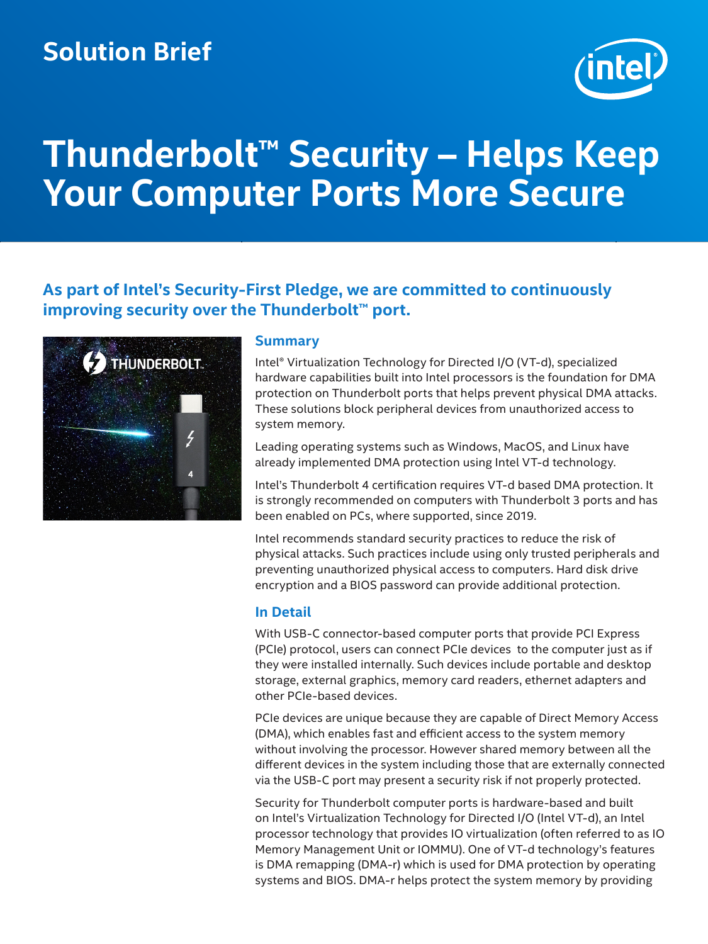## **Solution Brief**



# **Thunderbolt™ Security – Helps Keep Your Computer Ports More Secure**

### **As part of Intel's Security-First Pledge, we are committed to continuously improving security over the Thunderbolt™ port.**



#### **Summary**

Intel® Virtualization Technology for Directed I/O (VT-d), specialized hardware capabilities built into Intel processors is the foundation for DMA protection on Thunderbolt ports that helps prevent physical DMA attacks. These solutions block peripheral devices from unauthorized access to system memory.

Leading operating systems such as Windows, MacOS, and Linux have already implemented DMA protection using Intel VT-d technology.

Intel's Thunderbolt 4 certification requires VT-d based DMA protection. It is strongly recommended on computers with Thunderbolt 3 ports and has been enabled on PCs, where supported, since 2019.

Intel recommends standard security practices to reduce the risk of physical attacks. Such practices include using only trusted peripherals and preventing unauthorized physical access to computers. Hard disk drive encryption and a BIOS password can provide additional protection.

#### **In Detail**

With USB-C connector-based computer ports that provide PCI Express (PCIe) protocol, users can connect PCIe devices to the computer just as if they were installed internally. Such devices include portable and desktop storage, external graphics, memory card readers, ethernet adapters and other PCIe-based devices.

PCIe devices are unique because they are capable of Direct Memory Access (DMA), which enables fast and efficient access to the system memory without involving the processor. However shared memory between all the different devices in the system including those that are externally connected via the USB-C port may present a security risk if not properly protected.

Security for Thunderbolt computer ports is hardware-based and built on Intel's Virtualization Technology for Directed I/O (Intel VT-d), an Intel processor technology that provides IO virtualization (often referred to as IO Memory Management Unit or IOMMU). One of VT-d technology's features is DMA remapping (DMA-r) which is used for DMA protection by operating systems and BIOS. DMA-r helps protect the system memory by providing